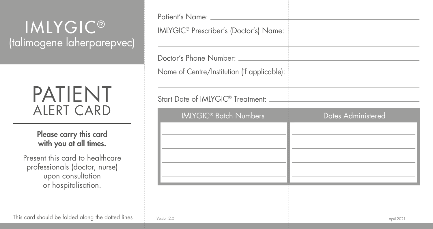## **IMLYGIC®** (talimogene laherparepvec)

## PATIENT ALERT CARD

Please carry this card with you at all times.

Present this card to healthcare professionals (doctor, nurse) upon consultation or hospitalisation.

| Patient's Name:<br>IMLYGIC <sup>®</sup> Prescriber's (Doctor's) Name: |                           |
|-----------------------------------------------------------------------|---------------------------|
| Doctor's Phone Number:<br>Name of Centre/Institution (if applicable): |                           |
| Start Date of IMLYGIC <sup>®</sup> Treatment:                         |                           |
| <b>IMLYGIC<sup>®</sup> Batch Numbers</b>                              | <b>Dates Administered</b> |